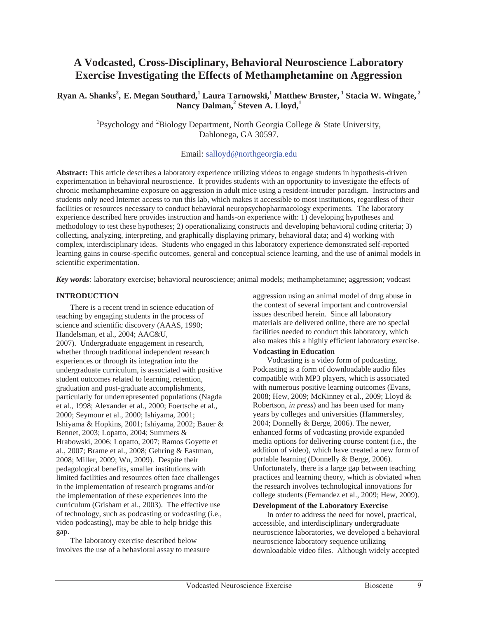# **A Vodcasted, Cross-Disciplinary, Behavioral Neuroscience Laboratory Exercise Investigating the Effects of Methamphetamine on Aggression**

**Ryan A. Shanks<sup>2</sup> , E. Megan Southard,1 Laura Tarnowski,1 Matthew Bruster, 1 Stacia W. Wingate, 2 Nancy Dalman,2 Steven A. Lloyd,<sup>1</sup>**

> <sup>1</sup>Psychology and <sup>2</sup>Biology Department, North Georgia College & State University, Dahlonega, GA 30597.

# Email: salloyd@northgeorgia.edu

**Abstract:** This article describes a laboratory experience utilizing videos to engage students in hypothesis-driven experimentation in behavioral neuroscience. It provides students with an opportunity to investigate the effects of chronic methamphetamine exposure on aggression in adult mice using a resident-intruder paradigm. Instructors and students only need Internet access to run this lab, which makes it accessible to most institutions, regardless of their facilities or resources necessary to conduct behavioral neuropsychopharmacology experiments. The laboratory experience described here provides instruction and hands-on experience with: 1) developing hypotheses and methodology to test these hypotheses; 2) operationalizing constructs and developing behavioral coding criteria; 3) collecting, analyzing, interpreting, and graphically displaying primary, behavioral data; and 4) working with complex, interdisciplinary ideas. Students who engaged in this laboratory experience demonstrated self-reported learning gains in course-specific outcomes, general and conceptual science learning, and the use of animal models in scientific experimentation.

*Key words:* laboratory exercise; behavioral neuroscience; animal models; methamphetamine; aggression; vodcast

# **INTRODUCTION**

There is a recent trend in science education of teaching by engaging students in the process of science and scientific discovery (AAAS, 1990; Handelsman, et al., 2004; AAC&U, 2007). Undergraduate engagement in research, whether through traditional independent research experiences or through its integration into the undergraduate curriculum, is associated with positive student outcomes related to learning, retention, graduation and post-graduate accomplishments, particularly for underrepresented populations (Nagda et al., 1998; Alexander et al., 2000; Foertsche et al., 2000; Seymour et al., 2000; Ishiyama, 2001; Ishiyama & Hopkins, 2001; Ishiyama, 2002; Bauer & Bennet, 2003; Lopatto, 2004; Summers & Hrabowski, 2006; Lopatto, 2007; Ramos Goyette et al., 2007; Brame et al., 2008; Gehring & Eastman, 2008; Miller, 2009; Wu, 2009). Despite their pedagological benefits, smaller institutions with limited facilities and resources often face challenges in the implementation of research programs and/or the implementation of these experiences into the curriculum (Grisham et al., 2003). The effective use of technology, such as podcasting or vodcasting (i.e., video podcasting), may be able to help bridge this gap.

The laboratory exercise described below involves the use of a behavioral assay to measure aggression using an animal model of drug abuse in the context of several important and controversial issues described herein. Since all laboratory materials are delivered online, there are no special facilities needed to conduct this laboratory, which also makes this a highly efficient laboratory exercise.

# **Vodcasting in Education**

Vodcasting is a video form of podcasting. Podcasting is a form of downloadable audio files compatible with MP3 players, which is associated with numerous positive learning outcomes (Evans, 2008; Hew, 2009; McKinney et al., 2009; Lloyd & Robertson, *in press*) and has been used for many years by colleges and universities (Hammersley, 2004; Donnelly & Berge, 2006). The newer, enhanced forms of vodcasting provide expanded media options for delivering course content (i.e., the addition of video), which have created a new form of portable learning (Donnelly & Berge, 2006). Unfortunately, there is a large gap between teaching practices and learning theory, which is obviated when the research involves technological innovations for college students (Fernandez et al., 2009; Hew, 2009).

# **Development of the Laboratory Exercise**

In order to address the need for novel, practical, accessible, and interdisciplinary undergraduate neuroscience laboratories, we developed a behavioral neuroscience laboratory sequence utilizing downloadable video files. Although widely accepted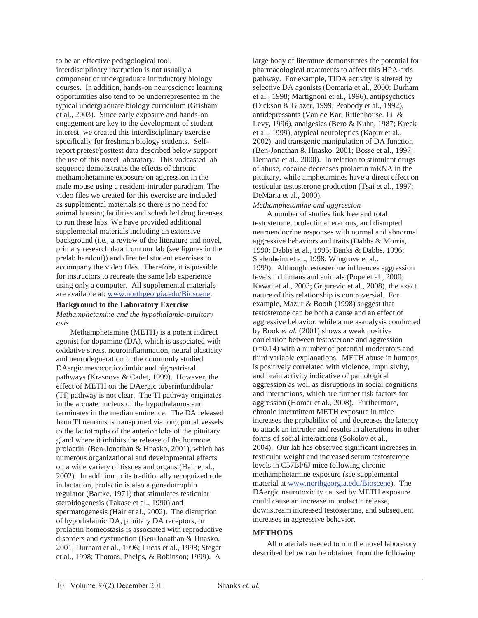to be an effective pedagological tool, interdisciplinary instruction is not usually a component of undergraduate introductory biology courses. In addition, hands-on neuroscience learning opportunities also tend to be underrepresented in the typical undergraduate biology curriculum (Grisham et al., 2003). Since early exposure and hands-on engagement are key to the development of student interest, we created this interdisciplinary exercise specifically for freshman biology students. Selfreport pretest/posttest data described below support the use of this novel laboratory. This vodcasted lab sequence demonstrates the effects of chronic methamphetamine exposure on aggression in the male mouse using a resident-intruder paradigm. The video files we created for this exercise are included as supplemental materials so there is no need for animal housing facilities and scheduled drug licenses to run these labs. We have provided additional supplemental materials including an extensive background (i.e., a review of the literature and novel, primary research data from our lab (see figures in the prelab handout)) and directed student exercises to accompany the video files. Therefore, it is possible for instructors to recreate the same lab experience using only a computer. All supplemental materials are available at: www.northgeorgia.edu/Bioscene.

# **Background to the Laboratory Exercise**

*Methamphetamine and the hypothalamic-pituitary axis* 

Methamphetamine (METH) is a potent indirect agonist for dopamine (DA), which is associated with oxidative stress, neuroinflammation, neural plasticity and neurodegneration in the commonly studied DAergic mesocorticolimbic and nigrostriatal pathways (Krasnova & Cadet, 1999). However, the effect of METH on the DAergic tuberinfundibular (TI) pathway is not clear. The TI pathway originates in the arcuate nucleus of the hypothalamus and terminates in the median eminence. The DA released from TI neurons is transported via long portal vessels to the lactotrophs of the anterior lobe of the pituitary gland where it inhibits the release of the hormone prolactin (Ben-Jonathan & Hnasko, 2001), which has numerous organizational and developmental effects on a wide variety of tissues and organs (Hair et al., 2002). In addition to its traditionally recognized role in lactation, prolactin is also a gonadotrophin regulator (Bartke, 1971) that stimulates testicular steroidogenesis (Takase et al., 1990) and spermatogenesis (Hair et al., 2002). The disruption of hypothalamic DA, pituitary DA receptors, or prolactin homeostasis is associated with reproductive disorders and dysfunction (Ben-Jonathan & Hnasko, 2001; Durham et al., 1996; Lucas et al., 1998; Steger et al., 1998; Thomas, Phelps, & Robinson; 1999). A

large body of literature demonstrates the potential for pharmacological treatments to affect this HPA-axis pathway. For example, TIDA activity is altered by selective DA agonists (Demaria et al., 2000; Durham et al., 1998; Martignoni et al., 1996), antipsychotics (Dickson & Glazer, 1999; Peabody et al., 1992), antidepressants (Van de Kar, Rittenhouse, Li, & Levy, 1996), analgesics (Bero & Kuhn, 1987; Kreek et al., 1999), atypical neuroleptics (Kapur et al., 2002), and transgenic manipulation of DA function (Ben-Jonathan & Hnasko, 2001; Bosse et al., 1997; Demaria et al., 2000). In relation to stimulant drugs of abuse, cocaine decreases prolactin mRNA in the pituitary, while amphetamines have a direct effect on testicular testosterone production (Tsai et al., 1997; DeMaria et al., 2000).

*Methamphetamine and aggression* 

A number of studies link free and total testosterone, prolactin alterations, and disrupted neuroendocrine responses with normal and abnormal aggressive behaviors and traits (Dabbs & Morris, 1990; Dabbs et al., 1995; Banks & Dabbs, 1996; Stalenheim et al., 1998; Wingrove et al., 1999). Although testosterone influences aggression levels in humans and animals (Pope et al., 2000; Kawai et al., 2003; Grgurevic et al., 2008), the exact nature of this relationship is controversial. For example, Mazur & Booth (1998) suggest that testosterone can be both a cause and an effect of aggressive behavior, while a meta-analysis conducted by Book *et al.* (2001) shows a weak positive correlation between testosterone and aggression (*r*=0.14) with a number of potential moderators and third variable explanations. METH abuse in humans is positively correlated with violence, impulsivity, and brain activity indicative of pathological aggression as well as disruptions in social cognitions and interactions, which are further risk factors for aggression (Homer et al., 2008). Furthermore, chronic intermittent METH exposure in mice increases the probability of and decreases the latency to attack an intruder and results in alterations in other forms of social interactions (Sokolov et al., 2004). Our lab has observed significant increases in testicular weight and increased serum testosterone levels in C57Bl/6J mice following chronic methamphetamine exposure (see supplemental material at www.northgeorgia.edu/Bioscene). The DAergic neurotoxicity caused by METH exposure could cause an increase in prolactin release, downstream increased testosterone, and subsequent increases in aggressive behavior.

# **METHODS**

All materials needed to run the novel laboratory described below can be obtained from the following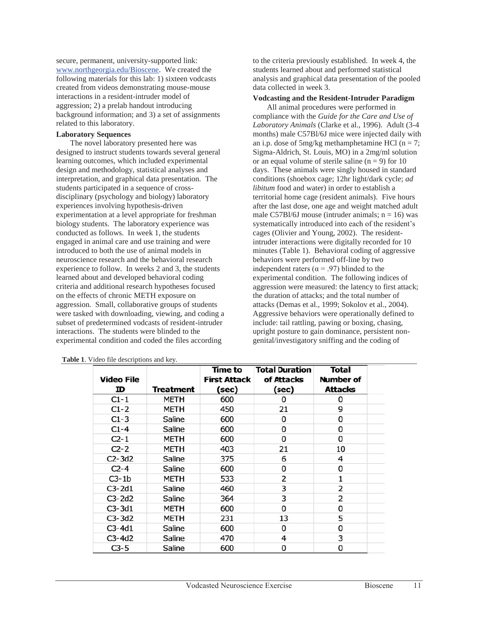secure, permanent, university-supported link: www.northgeorgia.edu/Bioscene. We created the following materials for this lab: 1) sixteen vodcasts created from videos demonstrating mouse-mouse interactions in a resident-intruder model of aggression; 2) a prelab handout introducing background information; and 3) a set of assignments related to this laboratory.

#### **Laboratory Sequences**

The novel laboratory presented here was designed to instruct students towards several general learning outcomes, which included experimental design and methodology, statistical analyses and interpretation, and graphical data presentation. The students participated in a sequence of crossdisciplinary (psychology and biology) laboratory experiences involving hypothesis-driven experimentation at a level appropriate for freshman biology students. The laboratory experience was conducted as follows. In week 1, the students engaged in animal care and use training and were introduced to both the use of animal models in neuroscience research and the behavioral research experience to follow. In weeks 2 and 3, the students learned about and developed behavioral coding criteria and additional research hypotheses focused on the effects of chronic METH exposure on aggression. Small, collaborative groups of students were tasked with downloading, viewing, and coding a subset of predetermined vodcasts of resident-intruder interactions. The students were blinded to the experimental condition and coded the files according

|                   |             | Time to             | <b>Total Duration</b> | <b>Total</b> |
|-------------------|-------------|---------------------|-----------------------|--------------|
| <b>Video File</b> |             | <b>First Attack</b> | of Attacks            | Number of    |
| ID                | Treatment   | (sec)               | (sec)                 | Attacks      |
| $C1-1$            | METH        | 600                 | O                     |              |
| $C1-2$            | <b>METH</b> | 450                 | 21                    | 9            |
| $C1-3$            | Saline      | 600                 | 0                     | o            |
| $C1-4$            | Saline      | 600                 | 0                     | 0            |
| $C_{2-1}$         | METH        | 600                 | 0                     | o            |
| $C2-2$            | METH        | 403                 | 21                    | 10           |
| $C2-3d2$          | Saline      | 375                 | 6                     | 4            |
| $C2-4$            | Saline      | 600                 | 0                     | 0            |
| $C3-1b$           | <b>METH</b> | 533                 | 2                     |              |
| $C3-2d1$          | Saline      | 460                 | 3                     | 2            |
| $C3-2d2$          | Saline      | 364                 | 3                     | 2            |
| $C3-3d1$          | METH        | 600                 | 0                     | 0            |
| $C3-3d2$          | METH        | 231                 | 13                    | 5            |
| $C3-4d1$          | Saline      | 600                 | o                     | Ω            |
| $C3-4d2$          | Saline      | 470                 | 4                     | 3            |
| <b>C3-5</b>       | Saline      | 600                 | n                     | n            |

|  |  |  | Table 1. Video file descriptions and key. |  |
|--|--|--|-------------------------------------------|--|
|  |  |  |                                           |  |

to the criteria previously established. In week 4, the students learned about and performed statistical analysis and graphical data presentation of the pooled data collected in week 3.

#### **Vodcasting and the Resident-Intruder Paradigm**

All animal procedures were performed in compliance with the *Guide for the Care and Use of Laboratory Animals* (Clarke et al., 1996). Adult (3-4 months) male C57Bl/6J mice were injected daily with an i.p. dose of  $5mg/kg$  methamphetamine HCl (n = 7; Sigma-Aldrich, St. Louis, MO) in a 2mg/ml solution or an equal volume of sterile saline  $(n = 9)$  for 10 days. These animals were singly housed in standard conditions (shoebox cage; 12hr light/dark cycle; *ad libitum* food and water) in order to establish a territorial home cage (resident animals). Five hours after the last dose, one age and weight matched adult male C57Bl/6J mouse (intruder animals;  $n = 16$ ) was systematically introduced into each of the resident's cages (Olivier and Young, 2002). The residentintruder interactions were digitally recorded for 10 minutes (Table 1). Behavioral coding of aggressive behaviors were performed off-line by two independent raters ( $\alpha$  = .97) blinded to the experimental condition. The following indices of aggression were measured: the latency to first attack; the duration of attacks; and the total number of attacks (Demas et al., 1999; Sokolov et al., 2004). Aggressive behaviors were operationally defined to include: tail rattling, pawing or boxing, chasing, upright posture to gain dominance, persistent nongenital/investigatory sniffing and the coding of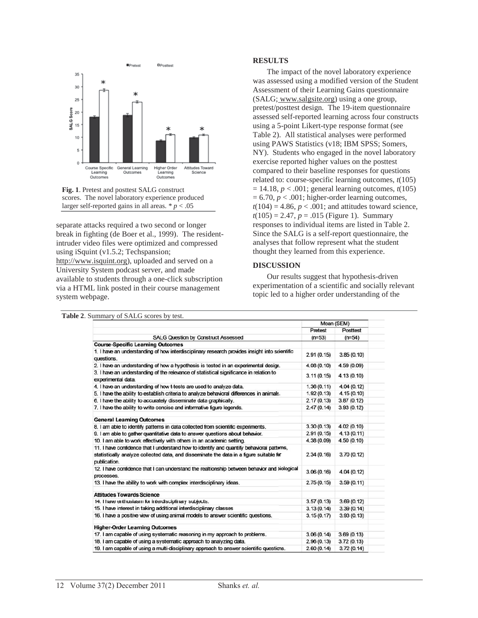



separate attacks required a two second or longer break in fighting (de Boer et al., 1999). The residentintruder video files were optimized and compressed using iSquint (v1.5.2; Techspansion; http://www.isquint.org), uploaded and served on a University System podcast server, and made available to students through a one-click subscription via a HTML link posted in their course management system webpage.

#### **RESULTS**

The impact of the novel laboratory experience was assessed using a modified version of the Student Assessment of their Learning Gains questionnaire (SALG; www.salgsite.org) using a one group, pretest/posttest design. The 19-item questionnaire assessed self-reported learning across four constructs using a 5-point Likert-type response format (see Table 2). All statistical analyses were performed using PAWS Statistics (v18; IBM SPSS; Somers, NY). Students who engaged in the novel laboratory exercise reported higher values on the posttest compared to their baseline responses for questions related to: course-specific learning outcomes, *t*(105)  $= 14.18$ ,  $p < .001$ ; general learning outcomes,  $t(105)$  $= 6.70, p < .001$ ; higher-order learning outcomes,  $t(104) = 4.86$ ,  $p < .001$ ; and attitudes toward science,  $t(105) = 2.47$ ,  $p = .015$  (Figure 1). Summary responses to individual items are listed in Table 2. Since the SALG is a self-report questionnaire, the analyses that follow represent what the student thought they learned from this experience.

#### **DISCUSSION**

Our results suggest that hypothesis-driven experimentation of a scientific and socially relevant topic led to a higher order understanding of the

|                                                                                                                                                                                                      | Mean (SEM) |            |
|------------------------------------------------------------------------------------------------------------------------------------------------------------------------------------------------------|------------|------------|
|                                                                                                                                                                                                      | Pretest    | Posttest   |
| <b>SALG Question by Construct Assessed</b>                                                                                                                                                           | $(n=53)$   | $(n=54)$   |
| <b>Course-Specific Learning Outcomes</b>                                                                                                                                                             |            |            |
| 1. I have an understanding of how interdisciplinary research provides insight into scientific<br>questions.                                                                                          | 2.91(0.15) | 3.85(0.10) |
| 2. I have an understanding of how a hypothesis is tested in an experimental design.                                                                                                                  | 4.08(0.10) | 4.59(0.09) |
| 3. I have an understanding of the relevance of statistical significance in relation to<br>experimental data.                                                                                         | 3.11(0.15) | 4.13(0.10) |
| 4. I have an understanding of how t-tests are used to analyze data.                                                                                                                                  | 1.36(0.11) | 4.04(0.12) |
| 5. I have the ability to establish criteria to analyze behavioral differences in animals.                                                                                                            | 1.92(0.13) | 4.15(0.10) |
| 6. I have the ability to accurately disseminate data graphically.                                                                                                                                    | 2.17(0.13) | 3.87(0.12) |
| 7. I have the ability to write concise and informative figure legends.                                                                                                                               | 2.47(0.14) | 3.93(0.12) |
| <b>General Learning Outcomes</b>                                                                                                                                                                     |            |            |
| 8. I am able to identify patterns in data collected from scientific experiments.                                                                                                                     | 3.30(0.13) | 4.02(0.10) |
| 9. I am able to gather quantitative data to answer questions about behavior.                                                                                                                         | 2.91(0.15) | 4.13(0.11) |
| 10. I am able to work effectively with others in an academic setting.                                                                                                                                | 4.38(0.09) | 4.50(0.10) |
| 11. I have confidence that I understand how to identify and quantify behavioral patterns,<br>statistically analyze collected data, and disseminate the data in a figure suitable for<br>publication. | 2.34(0.16) | 3.70(0.12) |
| 12. I have confidence that I can understand the realtionship between behavior and biological<br>processes.                                                                                           | 3.06(0.16) | 4.04(0.12) |
| 13. I have the ability to work with complex interdisciplinary ideas.                                                                                                                                 | 2.75(0.15) | 3.59(0.11) |
| <b>Attitudes Towards Science</b>                                                                                                                                                                     |            |            |
| 14. I have enthusiasm for interdisciplinary subjects.                                                                                                                                                | 3.57(0.13) | 3.69(0.12) |
| 15. I have interest in taking additional interdisciplinary classes                                                                                                                                   | 3.13(0.14) | 3.39(0.14) |
| 16. I have a positive view of using animal models to answer scientific questions.                                                                                                                    | 3.15(0.17) | 3.93(0.13) |
| <b>Higher-Order Learning Outcomes</b>                                                                                                                                                                |            |            |
| 17. I am capable of using systematic reasoning in my approach to problems.                                                                                                                           | 3.06(0.14) | 3.69(0.13) |
| 18. I am capable of using a systematic approach to analyzing data.                                                                                                                                   | 2.96(0.13) | 3.72(0.13) |
| 19. I am capable of using a multi-disciplinary approach to answer scientific questions.                                                                                                              | 2.60(0.14) | 3.72(0.14) |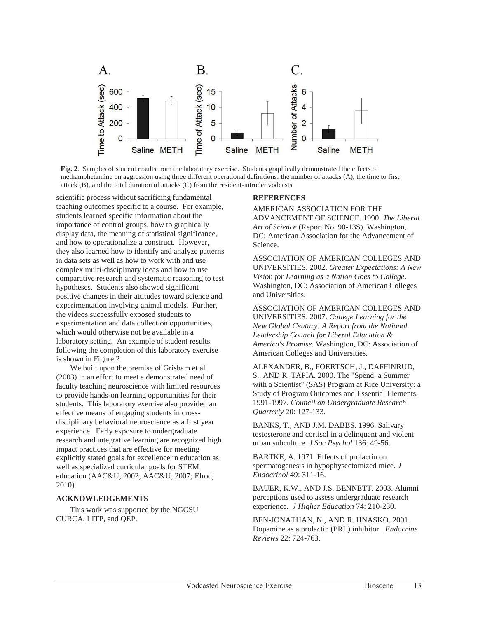

**Fig. 2**. Samples of student results from the laboratory exercise. Students graphically demonstrated the effects of methamphetamine on aggression using three different operational definitions: the number of attacks (A), the time to first attack (B), and the total duration of attacks (C) from the resident-intruder vodcasts.

scientific process without sacrificing fundamental teaching outcomes specific to a course. For example, students learned specific information about the importance of control groups, how to graphically display data, the meaning of statistical significance, and how to operationalize a construct. However, they also learned how to identify and analyze patterns in data sets as well as how to work with and use complex multi-disciplinary ideas and how to use comparative research and systematic reasoning to test hypotheses. Students also showed significant positive changes in their attitudes toward science and experimentation involving animal models. Further, the videos successfully exposed students to experimentation and data collection opportunities, which would otherwise not be available in a laboratory setting. An example of student results following the completion of this laboratory exercise is shown in Figure 2.

We built upon the premise of Grisham et al. (2003) in an effort to meet a demonstrated need of faculty teaching neuroscience with limited resources to provide hands-on learning opportunities for their students. This laboratory exercise also provided an effective means of engaging students in crossdisciplinary behavioral neuroscience as a first year experience. Early exposure to undergraduate research and integrative learning are recognized high impact practices that are effective for meeting explicitly stated goals for excellence in education as well as specialized curricular goals for STEM education (AAC&U, 2002; AAC&U, 2007; Elrod, 2010).

# **ACKNOWLEDGEMENTS**

This work was supported by the NGCSU CURCA, LITP, and QEP.

#### **REFERENCES**

AMERICAN ASSOCIATION FOR THE ADVANCEMENT OF SCIENCE. 1990. *The Liberal Art of Science* (Report No. 90-13S). Washington, DC: American Association for the Advancement of Science.

ASSOCIATION OF AMERICAN COLLEGES AND UNIVERSITIES. 2002. *Greater Expectations: A New Vision for Learning as a Nation Goes to College*. Washington, DC: Association of American Colleges and Universities.

ASSOCIATION OF AMERICAN COLLEGES AND UNIVERSITIES. 2007. *College Learning for the New Global Century: A Report from the National Leadership Council for Liberal Education & America's Promise.* Washington, DC: Association of American Colleges and Universities.

ALEXANDER, B., FOERTSCH, J., DAFFINRUD, S., AND R. TAPIA. 2000. The "Spend a Summer with a Scientist" (SAS) Program at Rice University: a Study of Program Outcomes and Essential Elements, 1991-1997. *Council on Undergraduate Research Quarterly* 20: 127-133.

BANKS, T., AND J.M. DABBS. 1996. Salivary testosterone and cortisol in a delinquent and violent urban subculture. *J Soc Psychol* 136: 49-56.

BARTKE, A. 1971. Effects of prolactin on spermatogenesis in hypophysectomized mice. *J Endocrinol* 49: 311-16.

BAUER, K.W., AND J.S. BENNETT. 2003. Alumni perceptions used to assess undergraduate research experience. *J Higher Education* 74: 210-230.

BEN-JONATHAN, N., AND R. HNASKO. 2001. Dopamine as a prolactin (PRL) inhibitor. *Endocrine Reviews* 22: 724-763.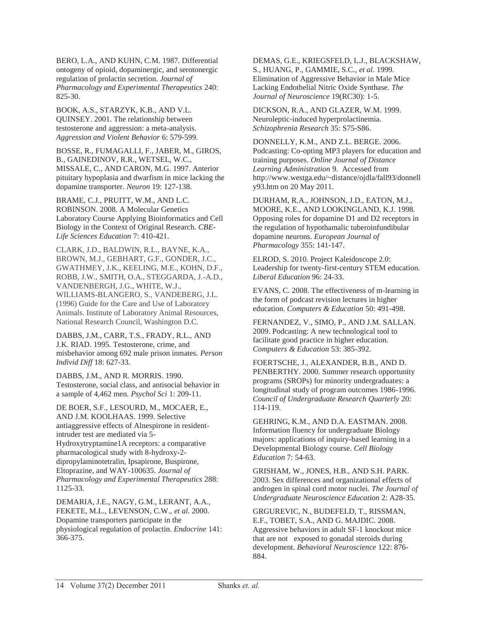BERO, L.A., AND KUHN, C.M. 1987. Differential ontogeny of opioid, dopaminergic, and serotonergic regulation of prolactin secretion. *Journal of Pharmacology and Experimental Therapeutics* 240: 825-30.

BOOK, A.S., STARZYK, K.B., AND V.L. QUINSEY. 2001. The relationship between testosterone and aggression: a meta-analysis. *Aggression and Violent Behavior* 6: 579-599.

BOSSE, R., FUMAGALLI, F., JABER, M., GIROS, B., GAINEDINOV, R.R., WETSEL, W.C., MISSALE, C., AND CARON, M.G. 1997. Anterior pituitary hypoplasia and dwarfism in mice lacking the dopamine transporter. *Neuron* 19: 127-138.

BRAME, C.J., PRUITT, W.M., AND L.C. ROBINSON. 2008. A Molecular Genetics Laboratory Course Applying Bioinformatics and Cell Biology in the Context of Original Research. *CBE-Life Sciences Education* 7: 410-421.

CLARK, J.D., BALDWIN, R.L., BAYNE, K.A., BROWN, M.J., GEBHART, G.F., GONDER, J.C., GWATHMEY, J.K., KEELING, M.E., KOHN, D.F., ROBB, J.W., SMITH, O.A., STEGGARDA, J.-A.D., VANDENBERGH, J.G., WHITE, W.J., WILLIAMS-BLANGERO, S., VANDEBERG, J.L. (1996) Guide for the Care and Use of Laboratory Animals. Institute of Laboratory Animal Resources, National Research Council, Washington D.C.

DABBS, J.M., CARR, T.S., FRADY, R.L., AND J.K. RIAD. 1995. Testosterone, crime, and misbehavior among 692 male prison inmates. *Person Individ Diff* 18: 627-33.

DABBS, J.M., AND R. MORRIS. 1990. Testosterone, social class, and antisocial behavior in a sample of 4,462 men. *Psychol Sci* 1: 209-11.

DE BOER, S.F., LESOURD, M., MOCAER, E., AND J.M. KOOLHAAS. 1999. Selective antiaggressive effects of Alnespirone in residentintruder test are mediated via 5- Hydroxytryptamine1A receptors: a comparative pharmacological study with 8-hydroxy-2 dipropylaminotetralin, Ipsapirone, Buspirone, Eltoprazine, and WAY-100635. *Journal of Pharmacology and Experimental Therapeutics* 288: 1125-33.

DEMARIA, J.E., NAGY, G.M., LERANT, A.A., FEKETE, M.L., LEVENSON, C.W., *et al*. 2000. Dopamine transporters participate in the physiological regulation of prolactin. *Endocrine* 141: 366-375.

DEMAS, G.E., KRIEGSFELD, L.J., BLACKSHAW, S., HUANG, P., GAMMIE, S.C., *et al*. 1999. Elimination of Aggressive Behavior in Male Mice Lacking Endothelial Nitric Oxide Synthase. *The Journal of Neuroscience* 19(RC30): 1-5.

DICKSON, R.A., AND GLAZER, W.M. 1999. Neuroleptic-induced hyperprolactinemia. *Schizophrenia Research* 35: S75-S86.

DONNELLY, K.M., AND Z.L. BERGE. 2006. Podcasting: Co-opting MP3 players for education and training purposes. *Online Journal of Distance Learning Administration* 9. Accessed from http://www.westga.edu/~distance/ojdla/fall93/donnell y93.htm on 20 May 2011.

DURHAM, R.A., JOHNSON, J.D., EATON, M.J., MOORE, K.E., AND LOOKINGLAND, K.J. 1998. Opposing roles for dopamine D1 and D2 receptors in the regulation of hypothamalic tuberoinfundibular dopamine neurons. *European Journal of Pharmacology* 355: 141-147.

ELROD, S. 2010. Project Kaleidoscope 2.0: Leadership for twenty-first-century STEM education. *Liberal Education* 96: 24-33.

EVANS, C. 2008. The effectiveness of m-learning in the form of podcast revision lectures in higher education. *Computers & Education* 50: 491-498.

FERNANDEZ, V., SIMO, P., AND J.M. SALLAN. 2009. Podcasting: A new technological tool to facilitate good practice in higher education. *Computers & Education* 53: 385-392.

FOERTSCHE, J., ALEXANDER, B.B., AND D. PENBERTHY. 2000. Summer research opportunity programs (SROPs) for minority undergraduates: a longitudinal study of program outcomes 1986-1996. *Council of Undergraduate Research Quarterly* 20: 114-119.

GEHRING, K.M., AND D.A. EASTMAN. 2008. Information fluency for undergraduate Biology majors: applications of inquiry-based learning in a Developmental Biology course. *Cell Biology Education* 7: 54-63.

GRISHAM, W., JONES, H.B., AND S.H. PARK. 2003. Sex differences and organizational effects of androgen in spinal cord motor nuclei. *The Journal of Undergraduate Neuroscience Education* 2: A28-35.

GRGUREVIC, N., BUDEFELD, T., RISSMAN, E.F., TOBET, S.A., AND G. MAJDIC. 2008. Aggressive behaviors in adult SF-1 knockout mice that are not exposed to gonadal steroids during development. *Behavioral Neuroscience* 122: 876- 884.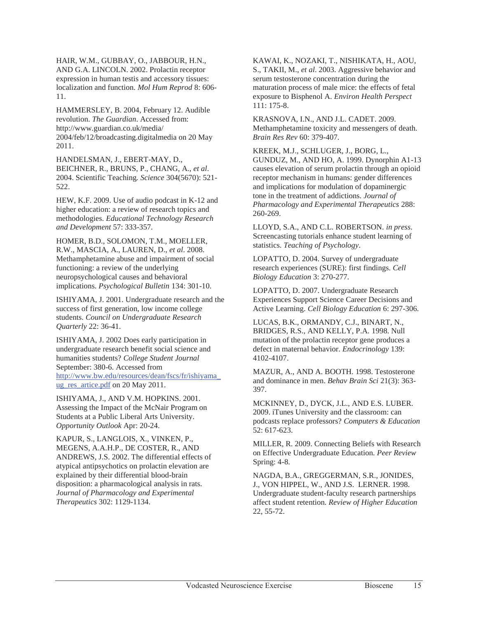HAIR, W.M., GUBBAY, O., JABBOUR, H.N., AND G.A. LINCOLN. 2002. Prolactin receptor expression in human testis and accessory tissues: localization and function. *Mol Hum Reprod* 8: 606- 11.

HAMMERSLEY, B. 2004, February 12. Audible revolution. *The Guardian*. Accessed from: http://www.guardian.co.uk/media/ 2004/feb/12/broadcasting.digitalmedia on 20 May 2011.

HANDELSMAN, J., EBERT-MAY, D., BEICHNER, R., BRUNS, P., CHANG, A., *et al*. 2004. Scientific Teaching*. Science* 304(5670): 521- 522.

HEW, K.F. 2009. Use of audio podcast in K-12 and higher education: a review of research topics and methodologies. *Educational Technology Research and Development* 57: 333-357.

HOMER, B.D., SOLOMON, T.M., MOELLER, R.W., MASCIA, A., LAUREN, D., *et al*. 2008. Methamphetamine abuse and impairment of social functioning: a review of the underlying neuropsychological causes and behavioral implications. *Psychological Bulletin* 134: 301-10.

ISHIYAMA, J. 2001. Undergraduate research and the success of first generation, low income college students. *Council on Undergraduate Research Quarterly* 22: 36-41.

ISHIYAMA, J. 2002 Does early participation in undergraduate research benefit social science and humanities students? *College Student Journal* September: 380-6. Accessed from http://www.bw.edu/resources/dean/fscs/fr/ishiyama\_ ug res artice.pdf on 20 May 2011.

ISHIYAMA, J., AND V.M. HOPKINS. 2001. Assessing the Impact of the McNair Program on Students at a Public Liberal Arts University. *Opportunity Outlook* Apr: 20-24.

KAPUR, S., LANGLOIS, X., VINKEN, P., MEGENS, A.A.H.P., DE COSTER, R., AND ANDREWS, J.S. 2002. The differential effects of atypical antipsychotics on prolactin elevation are explained by their differential blood-brain disposition: a pharmacological analysis in rats. *Journal of Pharmacology and Experimental Therapeutics* 302: 1129-1134.

KAWAI, K., NOZAKI, T., NISHIKATA, H., AOU, S., TAKII, M., *et al*. 2003. Aggressive behavior and serum testosterone concentration during the maturation process of male mice: the effects of fetal exposure to Bisphenol A. *Environ Health Perspect* 111: 175-8.

KRASNOVA, I.N., AND J.L. CADET. 2009. Methamphetamine toxicity and messengers of death. *Brain Res Rev* 60: 379-407.

KREEK, M.J., SCHLUGER, J., BORG, L., GUNDUZ, M., AND HO, A. 1999. Dynorphin A1-13 causes elevation of serum prolactin through an opioid receptor mechanism in humans: gender differences and implications for modulation of dopaminergic tone in the treatment of addictions. *Journal of Pharmacology and Experimental Therapeutics* 288: 260-269.

LLOYD, S.A., AND C.L. ROBERTSON. *in press*. Screencasting tutorials enhance student learning of statistics. *Teaching of Psychology*.

LOPATTO, D. 2004. Survey of undergraduate research experiences (SURE): first findings. *Cell Biology Education* 3: 270-277.

LOPATTO, D. 2007. Undergraduate Research Experiences Support Science Career Decisions and Active Learning. *Cell Biology Education* 6: 297-306.

LUCAS, B.K., ORMANDY, C.J., BINART, N., BRIDGES, R.S., AND KELLY, P.A. 1998. Null mutation of the prolactin receptor gene produces a defect in maternal behavior. *Endocrinology* 139: 4102-4107.

MAZUR, A., AND A. BOOTH. 1998. Testosterone and dominance in men. *Behav Brain Sci* 21(3): 363- 397.

MCKINNEY, D., DYCK, J.L., AND E.S. LUBER. 2009. iTunes University and the classroom: can podcasts replace professors? *Computers & Education* 52: 617-623.

MILLER, R. 2009. Connecting Beliefs with Research on Effective Undergraduate Education. *Peer Review* Spring: 4-8.

NAGDA, B.A., GREGGERMAN, S.R., JONIDES, J., VON HIPPEL, W., AND J.S. LERNER. 1998. Undergraduate student-faculty research partnerships affect student retention. *Review of Higher Education* 22, 55-72.